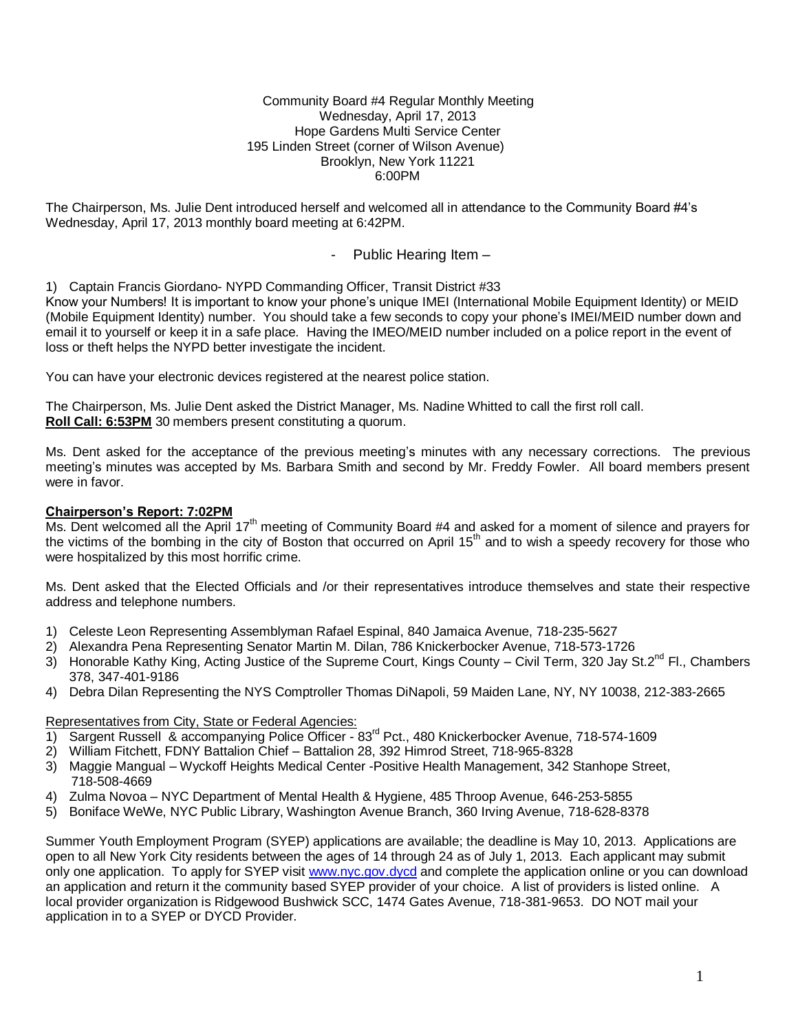#### Community Board #4 Regular Monthly Meeting Wednesday, April 17, 2013 Hope Gardens Multi Service Center 195 Linden Street (corner of Wilson Avenue) Brooklyn, New York 11221 6:00PM

The Chairperson, Ms. Julie Dent introduced herself and welcomed all in attendance to the Community Board #4's Wednesday, April 17, 2013 monthly board meeting at 6:42PM.

## - Public Hearing Item –

1) Captain Francis Giordano- NYPD Commanding Officer, Transit District #33

Know your Numbers! It is important to know your phone's unique IMEI (International Mobile Equipment Identity) or MEID (Mobile Equipment Identity) number. You should take a few seconds to copy your phone's IMEI/MEID number down and email it to yourself or keep it in a safe place. Having the IMEO/MEID number included on a police report in the event of loss or theft helps the NYPD better investigate the incident.

You can have your electronic devices registered at the nearest police station.

The Chairperson, Ms. Julie Dent asked the District Manager, Ms. Nadine Whitted to call the first roll call. **Roll Call: 6:53PM** 30 members present constituting a quorum.

Ms. Dent asked for the acceptance of the previous meeting's minutes with any necessary corrections. The previous meeting's minutes was accepted by Ms. Barbara Smith and second by Mr. Freddy Fowler. All board members present were in favor.

### **Chairperson's Report: 7:02PM**

Ms. Dent welcomed all the April 17<sup>th</sup> meeting of Community Board #4 and asked for a moment of silence and prayers for the victims of the bombing in the city of Boston that occurred on April  $15<sup>th</sup>$  and to wish a speedy recovery for those who were hospitalized by this most horrific crime.

Ms. Dent asked that the Elected Officials and /or their representatives introduce themselves and state their respective address and telephone numbers.

- 1) Celeste Leon Representing Assemblyman Rafael Espinal, 840 Jamaica Avenue, 718-235-5627
- 2) Alexandra Pena Representing Senator Martin M. Dilan, 786 Knickerbocker Avenue, 718-573-1726
- 3) Honorable Kathy King, Acting Justice of the Supreme Court, Kings County Civil Term, 320 Jay St. $2^{nd}$  Fl., Chambers 378, 347-401-9186
- 4) Debra Dilan Representing the NYS Comptroller Thomas DiNapoli, 59 Maiden Lane, NY, NY 10038, 212-383-2665

#### Representatives from City, State or Federal Agencies:

- 1) Sargent Russell & accompanying Police Officer 83rd Pct., 480 Knickerbocker Avenue, 718-574-1609
- 2) William Fitchett, FDNY Battalion Chief Battalion 28, 392 Himrod Street, 718-965-8328
- 3) Maggie Mangual Wyckoff Heights Medical Center -Positive Health Management, 342 Stanhope Street, 718-508-4669
- 4) Zulma Novoa NYC Department of Mental Health & Hygiene, 485 Throop Avenue, 646-253-5855
- 5) Boniface WeWe, NYC Public Library, Washington Avenue Branch, 360 Irving Avenue, 718-628-8378

Summer Youth Employment Program (SYEP) applications are available; the deadline is May 10, 2013. Applications are open to all New York City residents between the ages of 14 through 24 as of July 1, 2013. Each applicant may submit only one application. To apply for SYEP visi[t www.nyc.gov.dycd](http://www.nyc.gov.dycd/) and complete the application online or you can download an application and return it the community based SYEP provider of your choice. A list of providers is listed online. A local provider organization is Ridgewood Bushwick SCC, 1474 Gates Avenue, 718-381-9653. DO NOT mail your application in to a SYEP or DYCD Provider.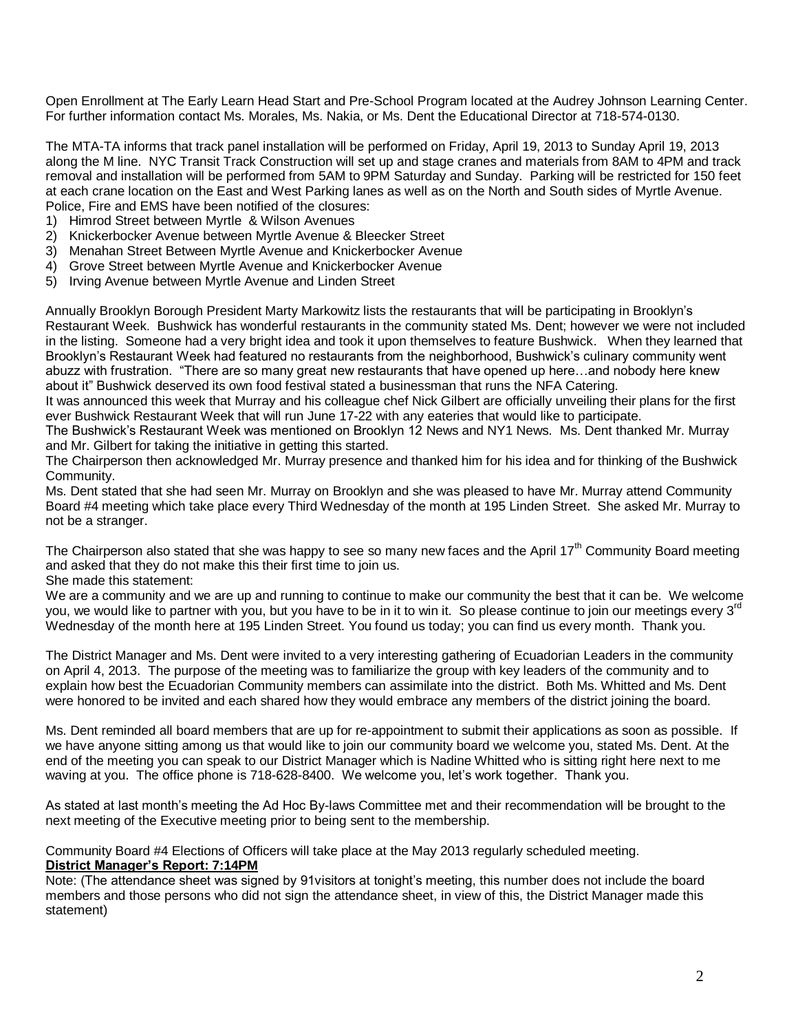Open Enrollment at The Early Learn Head Start and Pre-School Program located at the Audrey Johnson Learning Center. For further information contact Ms. Morales, Ms. Nakia, or Ms. Dent the Educational Director at 718-574-0130.

The MTA-TA informs that track panel installation will be performed on Friday, April 19, 2013 to Sunday April 19, 2013 along the M line. NYC Transit Track Construction will set up and stage cranes and materials from 8AM to 4PM and track removal and installation will be performed from 5AM to 9PM Saturday and Sunday. Parking will be restricted for 150 feet at each crane location on the East and West Parking lanes as well as on the North and South sides of Myrtle Avenue. Police, Fire and EMS have been notified of the closures:

- 1) Himrod Street between Myrtle & Wilson Avenues
- 2) Knickerbocker Avenue between Myrtle Avenue & Bleecker Street
- 3) Menahan Street Between Myrtle Avenue and Knickerbocker Avenue
- 4) Grove Street between Myrtle Avenue and Knickerbocker Avenue
- 5) Irving Avenue between Myrtle Avenue and Linden Street

Annually Brooklyn Borough President Marty Markowitz lists the restaurants that will be participating in Brooklyn's Restaurant Week. Bushwick has wonderful restaurants in the community stated Ms. Dent; however we were not included in the listing. Someone had a very bright idea and took it upon themselves to feature Bushwick. When they learned that Brooklyn's Restaurant Week had featured no restaurants from the neighborhood, Bushwick's culinary community went abuzz with frustration. "There are so many great new restaurants that have opened up here…and nobody here knew about it" Bushwick deserved its own food festival stated a businessman that runs the NFA Catering.

It was announced this week that Murray and his colleague chef Nick Gilbert are officially unveiling their plans for the first ever Bushwick Restaurant Week that will run June 17-22 with any eateries that would like to participate.

The Bushwick's Restaurant Week was mentioned on Brooklyn 12 News and NY1 News. Ms. Dent thanked Mr. Murray and Mr. Gilbert for taking the initiative in getting this started.

The Chairperson then acknowledged Mr. Murray presence and thanked him for his idea and for thinking of the Bushwick Community.

Ms. Dent stated that she had seen Mr. Murray on Brooklyn and she was pleased to have Mr. Murray attend Community Board #4 meeting which take place every Third Wednesday of the month at 195 Linden Street. She asked Mr. Murray to not be a stranger.

The Chairperson also stated that she was happy to see so many new faces and the April 17<sup>th</sup> Community Board meeting and asked that they do not make this their first time to join us.

She made this statement:

We are a community and we are up and running to continue to make our community the best that it can be. We welcome you, we would like to partner with you, but you have to be in it to win it. So please continue to join our meetings every 3<sup>rd</sup> Wednesday of the month here at 195 Linden Street. You found us today; you can find us every month. Thank you.

The District Manager and Ms. Dent were invited to a very interesting gathering of Ecuadorian Leaders in the community on April 4, 2013. The purpose of the meeting was to familiarize the group with key leaders of the community and to explain how best the Ecuadorian Community members can assimilate into the district. Both Ms. Whitted and Ms. Dent were honored to be invited and each shared how they would embrace any members of the district joining the board.

Ms. Dent reminded all board members that are up for re-appointment to submit their applications as soon as possible. If we have anyone sitting among us that would like to join our community board we welcome you, stated Ms. Dent. At the end of the meeting you can speak to our District Manager which is Nadine Whitted who is sitting right here next to me waving at you. The office phone is 718-628-8400. We welcome you, let's work together. Thank you.

As stated at last month's meeting the Ad Hoc By-laws Committee met and their recommendation will be brought to the next meeting of the Executive meeting prior to being sent to the membership.

Community Board #4 Elections of Officers will take place at the May 2013 regularly scheduled meeting. **District Manager's Report: 7:14PM**

Note: (The attendance sheet was signed by 91visitors at tonight's meeting, this number does not include the board members and those persons who did not sign the attendance sheet, in view of this, the District Manager made this statement)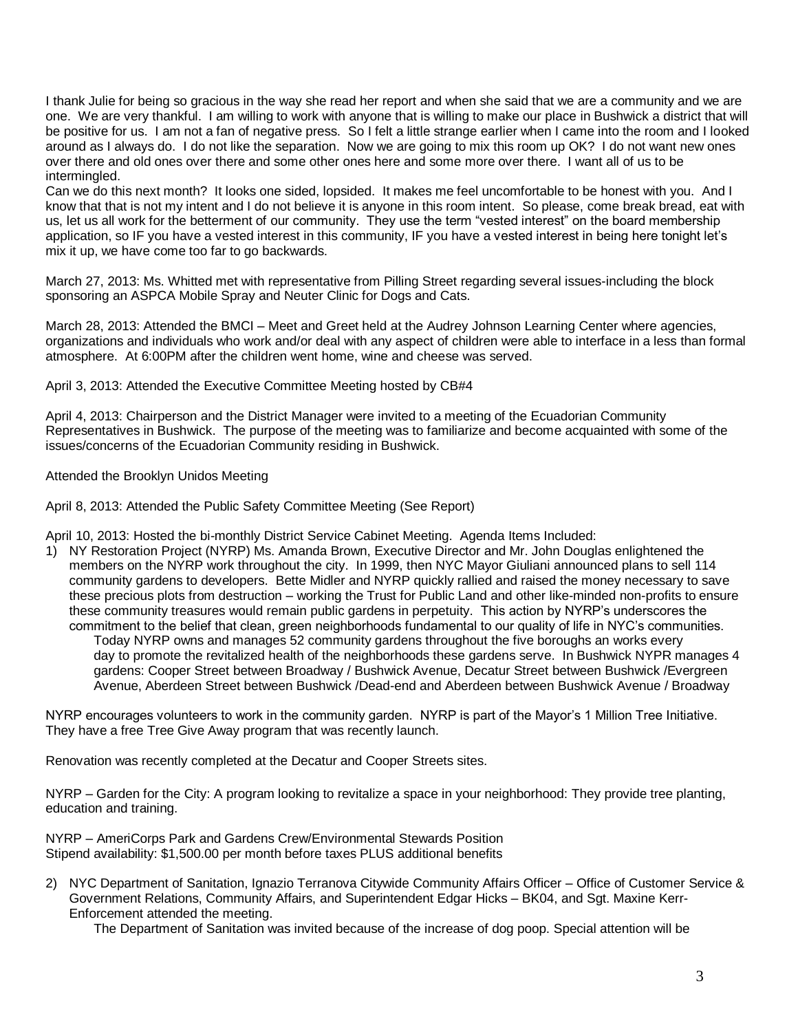I thank Julie for being so gracious in the way she read her report and when she said that we are a community and we are one. We are very thankful. I am willing to work with anyone that is willing to make our place in Bushwick a district that will be positive for us. I am not a fan of negative press. So I felt a little strange earlier when I came into the room and I looked around as I always do. I do not like the separation. Now we are going to mix this room up OK? I do not want new ones over there and old ones over there and some other ones here and some more over there. I want all of us to be intermingled.

Can we do this next month? It looks one sided, lopsided. It makes me feel uncomfortable to be honest with you. And I know that that is not my intent and I do not believe it is anyone in this room intent. So please, come break bread, eat with us, let us all work for the betterment of our community. They use the term "vested interest" on the board membership application, so IF you have a vested interest in this community, IF you have a vested interest in being here tonight let's mix it up, we have come too far to go backwards.

March 27, 2013: Ms. Whitted met with representative from Pilling Street regarding several issues-including the block sponsoring an ASPCA Mobile Spray and Neuter Clinic for Dogs and Cats.

March 28, 2013: Attended the BMCI – Meet and Greet held at the Audrey Johnson Learning Center where agencies, organizations and individuals who work and/or deal with any aspect of children were able to interface in a less than formal atmosphere. At 6:00PM after the children went home, wine and cheese was served.

April 3, 2013: Attended the Executive Committee Meeting hosted by CB#4

April 4, 2013: Chairperson and the District Manager were invited to a meeting of the Ecuadorian Community Representatives in Bushwick. The purpose of the meeting was to familiarize and become acquainted with some of the issues/concerns of the Ecuadorian Community residing in Bushwick.

Attended the Brooklyn Unidos Meeting

April 8, 2013: Attended the Public Safety Committee Meeting (See Report)

April 10, 2013: Hosted the bi-monthly District Service Cabinet Meeting. Agenda Items Included:

1) NY Restoration Project (NYRP) Ms. Amanda Brown, Executive Director and Mr. John Douglas enlightened the members on the NYRP work throughout the city. In 1999, then NYC Mayor Giuliani announced plans to sell 114 community gardens to developers. Bette Midler and NYRP quickly rallied and raised the money necessary to save these precious plots from destruction – working the Trust for Public Land and other like-minded non-profits to ensure these community treasures would remain public gardens in perpetuity. This action by NYRP's underscores the commitment to the belief that clean, green neighborhoods fundamental to our quality of life in NYC's communities. Today NYRP owns and manages 52 community gardens throughout the five boroughs an works every day to promote the revitalized health of the neighborhoods these gardens serve. In Bushwick NYPR manages 4

gardens: Cooper Street between Broadway / Bushwick Avenue, Decatur Street between Bushwick /Evergreen Avenue, Aberdeen Street between Bushwick /Dead-end and Aberdeen between Bushwick Avenue / Broadway

NYRP encourages volunteers to work in the community garden. NYRP is part of the Mayor's 1 Million Tree Initiative. They have a free Tree Give Away program that was recently launch.

Renovation was recently completed at the Decatur and Cooper Streets sites.

NYRP – Garden for the City: A program looking to revitalize a space in your neighborhood: They provide tree planting, education and training.

NYRP – AmeriCorps Park and Gardens Crew/Environmental Stewards Position Stipend availability: \$1,500.00 per month before taxes PLUS additional benefits

2) NYC Department of Sanitation, Ignazio Terranova Citywide Community Affairs Officer – Office of Customer Service & Government Relations, Community Affairs, and Superintendent Edgar Hicks – BK04, and Sgt. Maxine Kerr-Enforcement attended the meeting.

The Department of Sanitation was invited because of the increase of dog poop. Special attention will be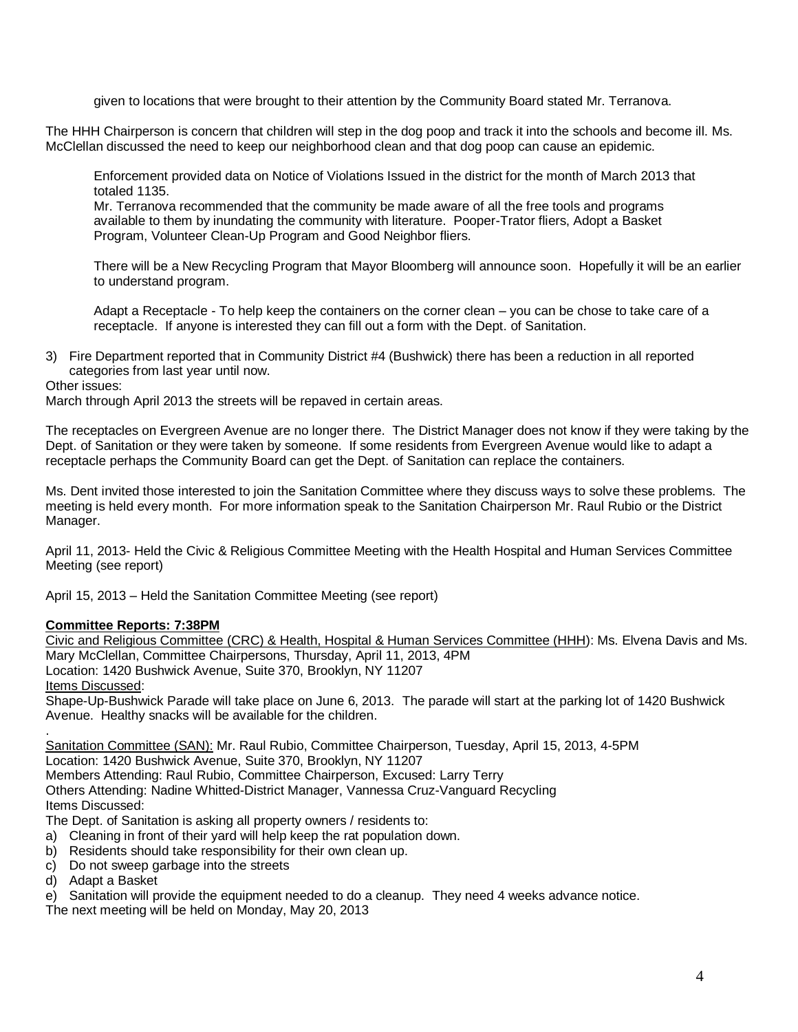given to locations that were brought to their attention by the Community Board stated Mr. Terranova.

The HHH Chairperson is concern that children will step in the dog poop and track it into the schools and become ill. Ms. McClellan discussed the need to keep our neighborhood clean and that dog poop can cause an epidemic.

Enforcement provided data on Notice of Violations Issued in the district for the month of March 2013 that totaled 1135.

Mr. Terranova recommended that the community be made aware of all the free tools and programs available to them by inundating the community with literature. Pooper-Trator fliers, Adopt a Basket Program, Volunteer Clean-Up Program and Good Neighbor fliers.

There will be a New Recycling Program that Mayor Bloomberg will announce soon. Hopefully it will be an earlier to understand program.

Adapt a Receptacle - To help keep the containers on the corner clean – you can be chose to take care of a receptacle. If anyone is interested they can fill out a form with the Dept. of Sanitation.

3) Fire Department reported that in Community District #4 (Bushwick) there has been a reduction in all reported categories from last year until now.

#### Other issues:

March through April 2013 the streets will be repaved in certain areas.

The receptacles on Evergreen Avenue are no longer there. The District Manager does not know if they were taking by the Dept. of Sanitation or they were taken by someone. If some residents from Evergreen Avenue would like to adapt a receptacle perhaps the Community Board can get the Dept. of Sanitation can replace the containers.

Ms. Dent invited those interested to join the Sanitation Committee where they discuss ways to solve these problems. The meeting is held every month. For more information speak to the Sanitation Chairperson Mr. Raul Rubio or the District Manager.

April 11, 2013- Held the Civic & Religious Committee Meeting with the Health Hospital and Human Services Committee Meeting (see report)

April 15, 2013 – Held the Sanitation Committee Meeting (see report)

#### **Committee Reports: 7:38PM**

Civic and Religious Committee (CRC) & Health, Hospital & Human Services Committee (HHH): Ms. Elvena Davis and Ms. Mary McClellan, Committee Chairpersons, Thursday, April 11, 2013, 4PM Location: 1420 Bushwick Avenue, Suite 370, Brooklyn, NY 11207 Items Discussed: Shape-Up-Bushwick Parade will take place on June 6, 2013. The parade will start at the parking lot of 1420 Bushwick Avenue. Healthy snacks will be available for the children.

. Sanitation Committee (SAN): Mr. Raul Rubio, Committee Chairperson, Tuesday, April 15, 2013, 4-5PM Location: 1420 Bushwick Avenue, Suite 370, Brooklyn, NY 11207 Members Attending: Raul Rubio, Committee Chairperson, Excused: Larry Terry Others Attending: Nadine Whitted-District Manager, Vannessa Cruz-Vanguard Recycling Items Discussed:

The Dept. of Sanitation is asking all property owners / residents to:

- a) Cleaning in front of their yard will help keep the rat population down.
- b) Residents should take responsibility for their own clean up.
- c) Do not sweep garbage into the streets
- d) Adapt a Basket
- e) Sanitation will provide the equipment needed to do a cleanup. They need 4 weeks advance notice.

The next meeting will be held on Monday, May 20, 2013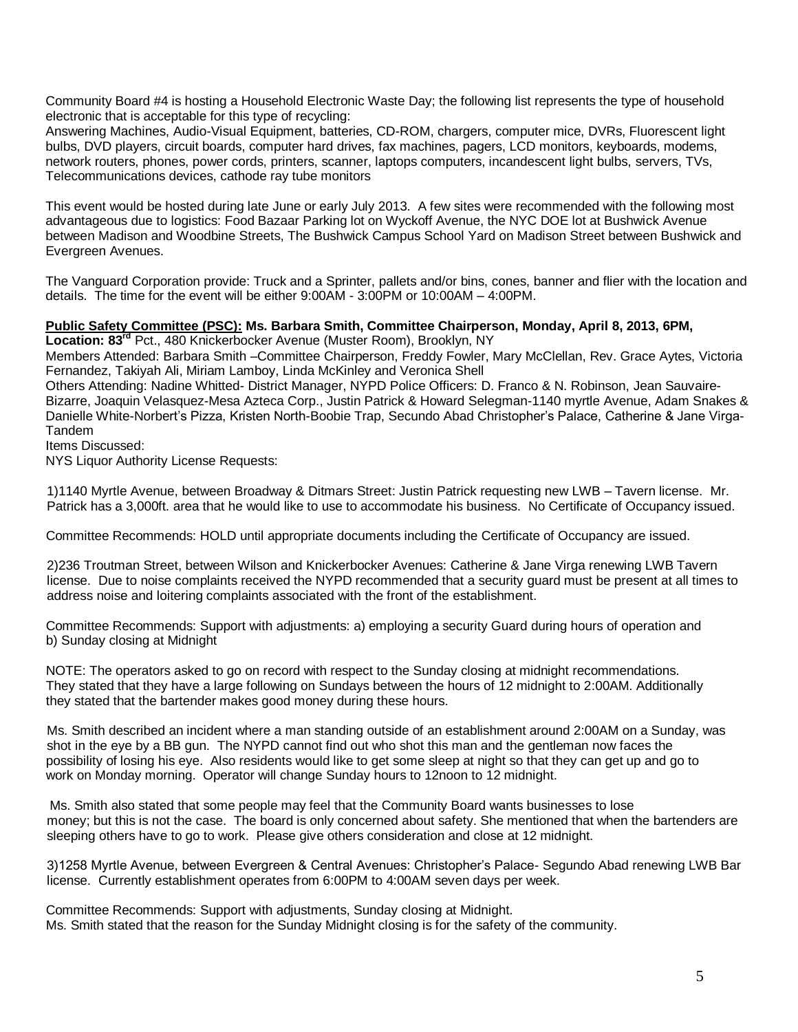Community Board #4 is hosting a Household Electronic Waste Day; the following list represents the type of household electronic that is acceptable for this type of recycling:

Answering Machines, Audio-Visual Equipment, batteries, CD-ROM, chargers, computer mice, DVRs, Fluorescent light bulbs, DVD players, circuit boards, computer hard drives, fax machines, pagers, LCD monitors, keyboards, modems, network routers, phones, power cords, printers, scanner, laptops computers, incandescent light bulbs, servers, TVs, Telecommunications devices, cathode ray tube monitors

This event would be hosted during late June or early July 2013. A few sites were recommended with the following most advantageous due to logistics: Food Bazaar Parking lot on Wyckoff Avenue, the NYC DOE lot at Bushwick Avenue between Madison and Woodbine Streets, The Bushwick Campus School Yard on Madison Street between Bushwick and Evergreen Avenues.

The Vanguard Corporation provide: Truck and a Sprinter, pallets and/or bins, cones, banner and flier with the location and details. The time for the event will be either 9:00AM - 3:00PM or 10:00AM – 4:00PM.

## **Public Safety Committee (PSC): Ms. Barbara Smith, Committee Chairperson, Monday, April 8, 2013, 6PM,**

**Location: 83rd** Pct., 480 Knickerbocker Avenue (Muster Room), Brooklyn, NY

Members Attended: Barbara Smith –Committee Chairperson, Freddy Fowler, Mary McClellan, Rev. Grace Aytes, Victoria Fernandez, Takiyah Ali, Miriam Lamboy, Linda McKinley and Veronica Shell

Others Attending: Nadine Whitted- District Manager, NYPD Police Officers: D. Franco & N. Robinson, Jean Sauvaire-Bizarre, Joaquin Velasquez-Mesa Azteca Corp., Justin Patrick & Howard Selegman-1140 myrtle Avenue, Adam Snakes & Danielle White-Norbert's Pizza, Kristen North-Boobie Trap, Secundo Abad Christopher's Palace, Catherine & Jane Virga-Tandem

Items Discussed:

NYS Liquor Authority License Requests:

1)1140 Myrtle Avenue, between Broadway & Ditmars Street: Justin Patrick requesting new LWB – Tavern license. Mr. Patrick has a 3,000ft. area that he would like to use to accommodate his business. No Certificate of Occupancy issued.

Committee Recommends: HOLD until appropriate documents including the Certificate of Occupancy are issued.

2)236 Troutman Street, between Wilson and Knickerbocker Avenues: Catherine & Jane Virga renewing LWB Tavern license. Due to noise complaints received the NYPD recommended that a security guard must be present at all times to address noise and loitering complaints associated with the front of the establishment.

 Committee Recommends: Support with adjustments: a) employing a security Guard during hours of operation and b) Sunday closing at Midnight

NOTE: The operators asked to go on record with respect to the Sunday closing at midnight recommendations. They stated that they have a large following on Sundays between the hours of 12 midnight to 2:00AM. Additionally they stated that the bartender makes good money during these hours.

Ms. Smith described an incident where a man standing outside of an establishment around 2:00AM on a Sunday, was shot in the eye by a BB gun. The NYPD cannot find out who shot this man and the gentleman now faces the possibility of losing his eye. Also residents would like to get some sleep at night so that they can get up and go to work on Monday morning. Operator will change Sunday hours to 12noon to 12 midnight.

 Ms. Smith also stated that some people may feel that the Community Board wants businesses to lose money; but this is not the case. The board is only concerned about safety. She mentioned that when the bartenders are sleeping others have to go to work. Please give others consideration and close at 12 midnight.

3)1258 Myrtle Avenue, between Evergreen & Central Avenues: Christopher's Palace- Segundo Abad renewing LWB Bar license. Currently establishment operates from 6:00PM to 4:00AM seven days per week.

 Committee Recommends: Support with adjustments, Sunday closing at Midnight. Ms. Smith stated that the reason for the Sunday Midnight closing is for the safety of the community.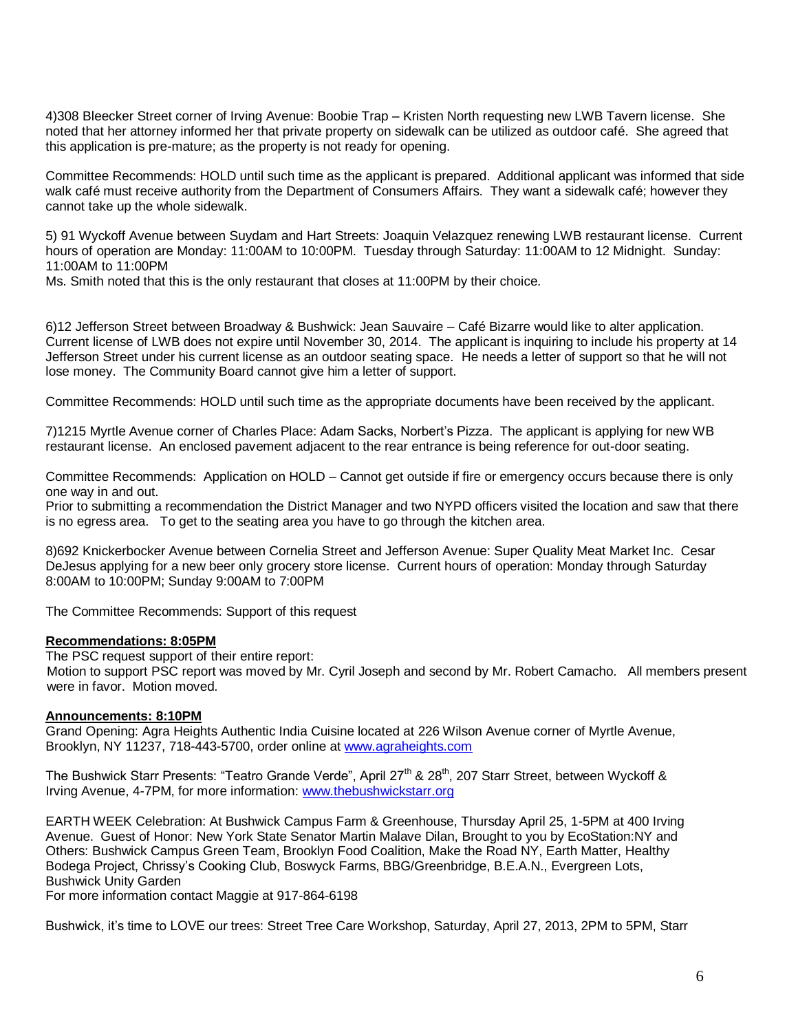4)308 Bleecker Street corner of Irving Avenue: Boobie Trap – Kristen North requesting new LWB Tavern license. She noted that her attorney informed her that private property on sidewalk can be utilized as outdoor café. She agreed that this application is pre-mature; as the property is not ready for opening.

Committee Recommends: HOLD until such time as the applicant is prepared. Additional applicant was informed that side walk café must receive authority from the Department of Consumers Affairs. They want a sidewalk café; however they cannot take up the whole sidewalk.

5) 91 Wyckoff Avenue between Suydam and Hart Streets: Joaquin Velazquez renewing LWB restaurant license. Current hours of operation are Monday: 11:00AM to 10:00PM. Tuesday through Saturday: 11:00AM to 12 Midnight. Sunday: 11:00AM to 11:00PM

Ms. Smith noted that this is the only restaurant that closes at 11:00PM by their choice.

6)12 Jefferson Street between Broadway & Bushwick: Jean Sauvaire – Café Bizarre would like to alter application. Current license of LWB does not expire until November 30, 2014. The applicant is inquiring to include his property at 14 Jefferson Street under his current license as an outdoor seating space. He needs a letter of support so that he will not lose money. The Community Board cannot give him a letter of support.

Committee Recommends: HOLD until such time as the appropriate documents have been received by the applicant.

7)1215 Myrtle Avenue corner of Charles Place: Adam Sacks, Norbert's Pizza. The applicant is applying for new WB restaurant license. An enclosed pavement adjacent to the rear entrance is being reference for out-door seating.

Committee Recommends: Application on HOLD – Cannot get outside if fire or emergency occurs because there is only one way in and out.

Prior to submitting a recommendation the District Manager and two NYPD officers visited the location and saw that there is no egress area. To get to the seating area you have to go through the kitchen area.

8)692 Knickerbocker Avenue between Cornelia Street and Jefferson Avenue: Super Quality Meat Market Inc. Cesar DeJesus applying for a new beer only grocery store license. Current hours of operation: Monday through Saturday 8:00AM to 10:00PM; Sunday 9:00AM to 7:00PM

The Committee Recommends: Support of this request

#### **Recommendations: 8:05PM**

The PSC request support of their entire report: Motion to support PSC report was moved by Mr. Cyril Joseph and second by Mr. Robert Camacho. All members present were in favor. Motion moved.

#### **Announcements: 8:10PM**

Grand Opening: Agra Heights Authentic India Cuisine located at 226 Wilson Avenue corner of Myrtle Avenue, Brooklyn, NY 11237, 718-443-5700, order online at [www.agraheights.com](http://www.agraheights.com/) 

The Bushwick Starr Presents: "Teatro Grande Verde", April 27<sup>th</sup> & 28<sup>th</sup>, 207 Starr Street, between Wyckoff & Irving Avenue, 4-7PM, for more information[: www.thebushwickstarr.org](http://www.thebushwickstarr.org/) 

EARTH WEEK Celebration: At Bushwick Campus Farm & Greenhouse, Thursday April 25, 1-5PM at 400 Irving Avenue. Guest of Honor: New York State Senator Martin Malave Dilan, Brought to you by EcoStation:NY and Others: Bushwick Campus Green Team, Brooklyn Food Coalition, Make the Road NY, Earth Matter, Healthy Bodega Project, Chrissy's Cooking Club, Boswyck Farms, BBG/Greenbridge, B.E.A.N., Evergreen Lots, Bushwick Unity Garden

For more information contact Maggie at 917-864-6198

Bushwick, it's time to LOVE our trees: Street Tree Care Workshop, Saturday, April 27, 2013, 2PM to 5PM, Starr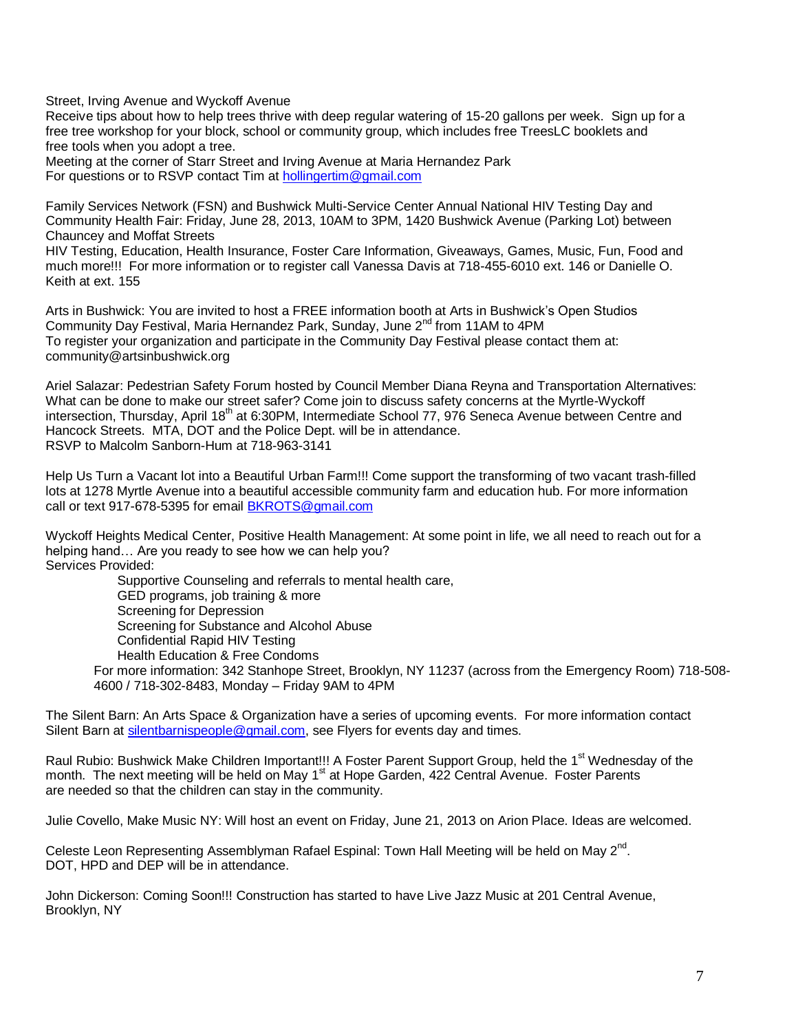Street, Irving Avenue and Wyckoff Avenue

Receive tips about how to help trees thrive with deep regular watering of 15-20 gallons per week. Sign up for a free tree workshop for your block, school or community group, which includes free TreesLC booklets and free tools when you adopt a tree.

Meeting at the corner of Starr Street and Irving Avenue at Maria Hernandez Park For questions or to RSVP contact Tim a[t hollingertim@gmail.com](mailto:hollingertim@gmail.com)

Family Services Network (FSN) and Bushwick Multi-Service Center Annual National HIV Testing Day and Community Health Fair: Friday, June 28, 2013, 10AM to 3PM, 1420 Bushwick Avenue (Parking Lot) between Chauncey and Moffat Streets

HIV Testing, Education, Health Insurance, Foster Care Information, Giveaways, Games, Music, Fun, Food and much more!!! For more information or to register call Vanessa Davis at 718-455-6010 ext. 146 or Danielle O. Keith at ext. 155

Arts in Bushwick: You are invited to host a FREE information booth at Arts in Bushwick's Open Studios Community Day Festival, Maria Hernandez Park, Sunday, June 2<sup>nd</sup> from 11AM to 4PM To register your organization and participate in the Community Day Festival please contact them at: community@artsinbushwick.org

Ariel Salazar: Pedestrian Safety Forum hosted by Council Member Diana Reyna and Transportation Alternatives: What can be done to make our street safer? Come join to discuss safety concerns at the Myrtle-Wyckoff intersection, Thursday, April 18<sup>th</sup> at 6:30PM, Intermediate School 77, 976 Seneca Avenue between Centre and Hancock Streets. MTA, DOT and the Police Dept. will be in attendance. RSVP to Malcolm Sanborn-Hum at 718-963-3141

Help Us Turn a Vacant lot into a Beautiful Urban Farm!!! Come support the transforming of two vacant trash-filled lots at 1278 Myrtle Avenue into a beautiful accessible community farm and education hub. For more information call or text 917-678-5395 for email [BKROTS@gmail.com](mailto:BKROTS@gmail.com) 

Wyckoff Heights Medical Center, Positive Health Management: At some point in life, we all need to reach out for a helping hand… Are you ready to see how we can help you? Services Provided:

Supportive Counseling and referrals to mental health care, GED programs, job training & more Screening for Depression Screening for Substance and Alcohol Abuse Confidential Rapid HIV Testing Health Education & Free Condoms For more information: 342 Stanhope Street, Brooklyn, NY 11237 (across from the Emergency Room) 718-508- 4600 / 718-302-8483, Monday – Friday 9AM to 4PM

The Silent Barn: An Arts Space & Organization have a series of upcoming events. For more information contact Silent Barn at [silentbarnispeople@gmail.com,](mailto:silentbarnispeople@gmail.com) see Flyers for events day and times.

Raul Rubio: Bushwick Make Children Important!!! A Foster Parent Support Group, held the 1<sup>st</sup> Wednesday of the month. The next meeting will be held on May 1<sup>st</sup> at Hope Garden, 422 Central Avenue. Foster Parents are needed so that the children can stay in the community.

Julie Covello, Make Music NY: Will host an event on Friday, June 21, 2013 on Arion Place. Ideas are welcomed.

Celeste Leon Representing Assemblyman Rafael Espinal: Town Hall Meeting will be held on May 2<sup>nd</sup>. DOT, HPD and DEP will be in attendance.

John Dickerson: Coming Soon!!! Construction has started to have Live Jazz Music at 201 Central Avenue, Brooklyn, NY